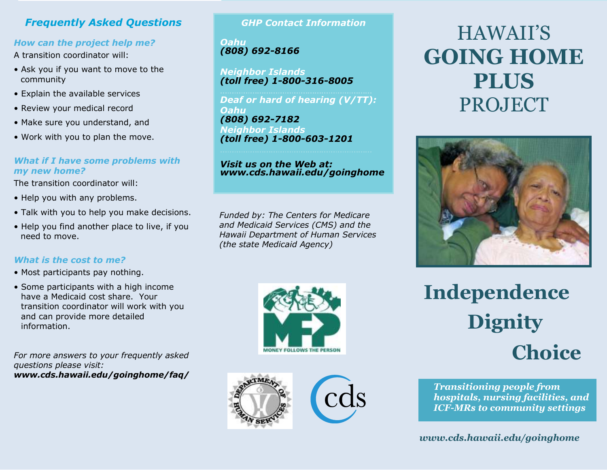# *Frequently Asked Questions*

### *How can the project help me?*

A transition coordinator will:

- Ask you if you want to move to the community
- Explain the available services
- Review your medical record
- Make sure you understand, and
- Work with you to plan the move.

### *What if I have some problems with my new home?*

The transition coordinator will:

- Help you with any problems.
- Talk with you to help you make decisions.
- Help you find another place to live, if you need to move.

# *What is the cost to me?*

- Most participants pay nothing.
- Some participants with a high income have a Medicaid cost share. Your transition coordinator will work with you and can provide more detailed information.

*For more answers to your frequently asked questions please visit: www.cds.hawaii.edu/goinghome/faq/*

# *GHP Contact Information*

*Oahu (808) 692-8166*

*Neighbor Islands (toll free) 1-800-316-8005* 

*Deaf or hard of hearing (V/TT): Oahu (808) 692-7182 Neighbor Islands (toll free) 1-800-603-1201*

#### *Visit us on the Web at: www.cds.hawaii.edu/goinghome*

*Funded by: The Centers for Medicare and Medicaid Services (CMS) and the Hawaii Department of Human Services (the state Medicaid Agency)*





HAWAII'S **GOING HOME PLUS**  PROJECT



# **Independence Choice Dignity**

*Transitioning people from hospitals, nursing facilities, and ICF-MRs to community settings*

*www.cds.hawaii.edu/goinghome*